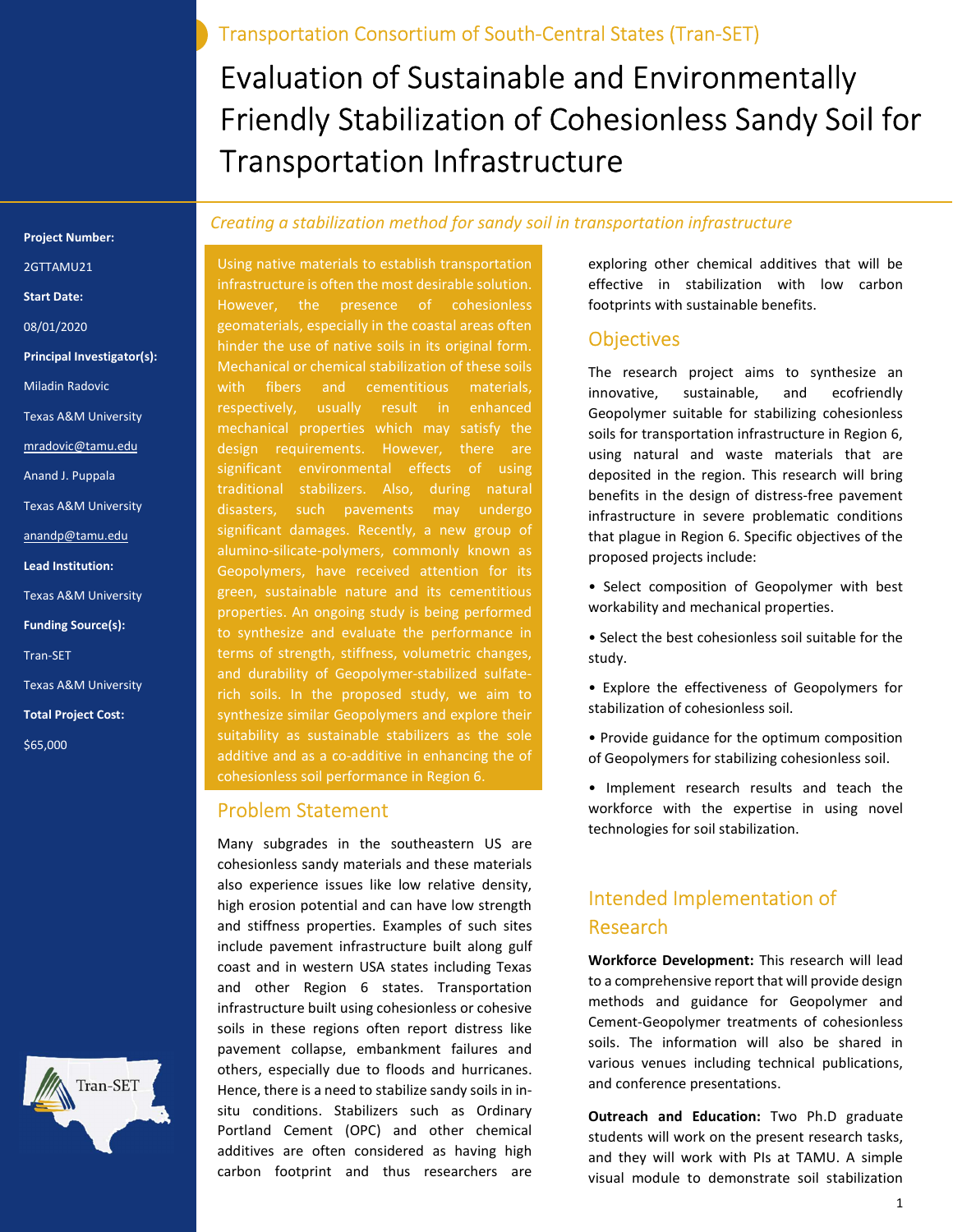Evaluation of Sustainable and Environmentally Friendly Stabilization of Cohesionless Sandy Soil for

Transportation Infrastructure

Transportation Consortium of South-Central States (Tran-SET)

#### Creating a stabilization method for sandy soil in transportation infrastructure

Using native materials to establish transportation infrastructure is often the most desirable solution. However, the presence of cohesionless geomaterials, especially in the coastal areas often hinder the use of native soils in its original form. Mechanical or chemical stabilization of these soils with fibers and cementitious materials, respectively, usually result in enhanced mechanical properties which may satisfy the design requirements. However, there are significant environmental effects of using traditional stabilizers. Also, during natural disasters, such pavements may undergo significant damages. Recently, a new group of alumino-silicate-polymers, commonly known as Geopolymers, have received attention for its green, sustainable nature and its cementitious properties. An ongoing study is being performed to synthesize and evaluate the performance in terms of strength, stiffness, volumetric changes, and durability of Geopolymer-stabilized sulfaterich soils. In the proposed study, we aim to synthesize similar Geopolymers and explore their suitability as sustainable stabilizers as the sole additive and as a co-additive in enhancing the of cohesionless soil performance in Region 6.

### Problem Statement

Many subgrades in the southeastern US are cohesionless sandy materials and these materials also experience issues like low relative density, high erosion potential and can have low strength and stiffness properties. Examples of such sites include pavement infrastructure built along gulf coast and in western USA states including Texas and other Region 6 states. Transportation infrastructure built using cohesionless or cohesive soils in these regions often report distress like pavement collapse, embankment failures and others, especially due to floods and hurricanes. Hence, there is a need to stabilize sandy soils in insitu conditions. Stabilizers such as Ordinary Portland Cement (OPC) and other chemical additives are often considered as having high carbon footprint and thus researchers are

exploring other chemical additives that will be effective in stabilization with low carbon footprints with sustainable benefits.

## **Objectives**

The research project aims to synthesize an innovative, sustainable, and ecofriendly Geopolymer suitable for stabilizing cohesionless soils for transportation infrastructure in Region 6, using natural and waste materials that are deposited in the region. This research will bring benefits in the design of distress-free pavement infrastructure in severe problematic conditions that plague in Region 6. Specific objectives of the proposed projects include:

- Select composition of Geopolymer with best workability and mechanical properties.
- Select the best cohesionless soil suitable for the study.
- Explore the effectiveness of Geopolymers for stabilization of cohesionless soil.
- Provide guidance for the optimum composition of Geopolymers for stabilizing cohesionless soil.
- Implement research results and teach the workforce with the expertise in using novel technologies for soil stabilization.

# Intended Implementation of Research

Workforce Development: This research will lead to a comprehensive report that will provide design methods and guidance for Geopolymer and Cement-Geopolymer treatments of cohesionless soils. The information will also be shared in various venues including technical publications, and conference presentations.

Outreach and Education: Two Ph.D graduate students will work on the present research tasks, and they will work with PIs at TAMU. A simple visual module to demonstrate soil stabilization

#### Project Number:

# 2GTTAMU21

- Start Date:
- 08/01/2020
- Principal Investigator(s):
- Miladin Radovic
- Texas A&M University
- mradovic@tamu.edu
- Anand J. Puppala
- Texas A&M University
- anandp@tamu.edu
- Lead Institution:
- Texas A&M University
- Funding Source(s):
- Tran-SET
- Texas A&M University
- Total Project Cost:
- \$65,000